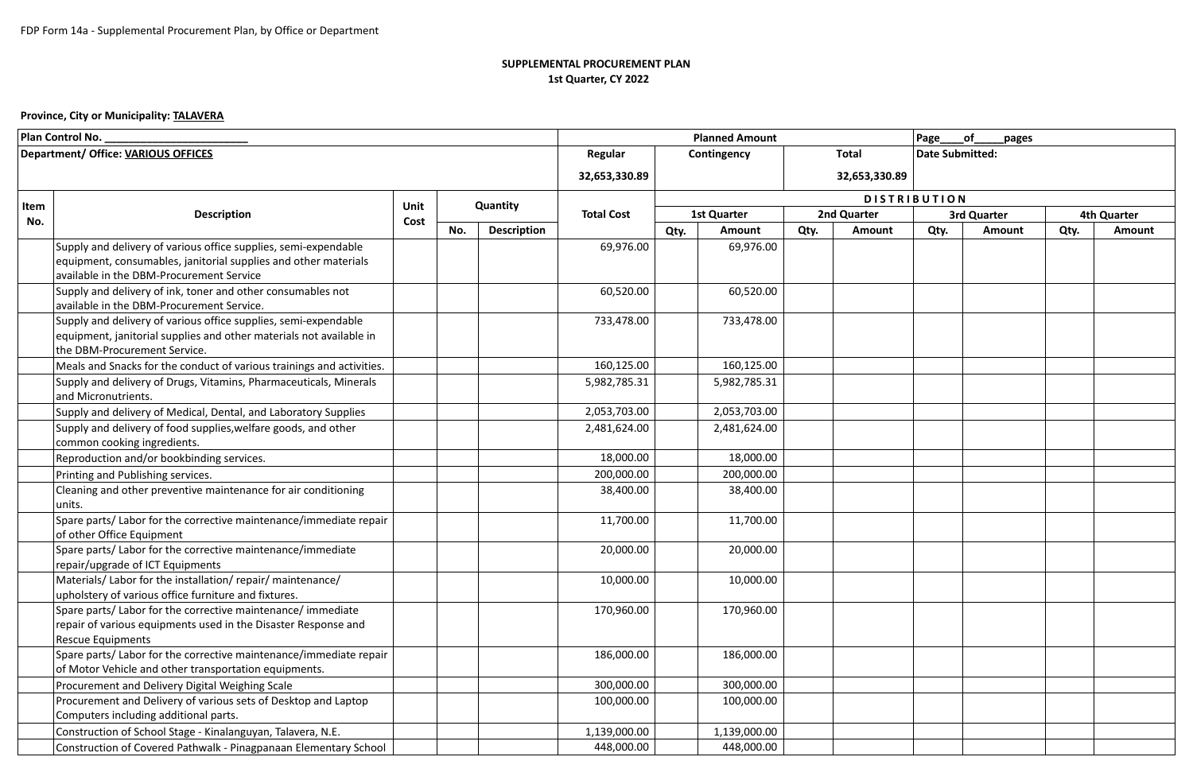## **SUPPLEMENTAL PROCUREMENT PLAN 1st Quarter, CY 2022**

## **Province, City or Municipality: TALAVERA**

| Plan Control No.                    |                                                                       |      |     | <b>Planned Amount</b> |                   |                    |               | of<br>Page<br>pages |                 |                     |        |             |               |  |
|-------------------------------------|-----------------------------------------------------------------------|------|-----|-----------------------|-------------------|--------------------|---------------|---------------------|-----------------|---------------------|--------|-------------|---------------|--|
| Department/ Office: VARIOUS OFFICES |                                                                       |      |     | Regular               | Contingency       |                    |               | <b>Total</b>        | Date Submitted: |                     |        |             |               |  |
|                                     |                                                                       |      |     | 32,653,330.89         |                   |                    | 32,653,330.89 |                     |                 |                     |        |             |               |  |
|                                     |                                                                       |      |     |                       |                   |                    |               |                     |                 |                     |        |             |               |  |
| Item                                | <b>Description</b>                                                    | Unit |     | Quantity              |                   |                    |               |                     |                 | <b>DISTRIBUTION</b> |        |             |               |  |
| No.                                 |                                                                       | Cost |     |                       | <b>Total Cost</b> | <b>1st Quarter</b> |               | 2nd Quarter         |                 | <b>3rd Quarter</b>  |        | 4th Quarter |               |  |
|                                     |                                                                       |      | No. | <b>Description</b>    |                   | Qty.               | Amount        | Qty.                | Amount          | Qty.                | Amount | Qty.        | <b>Amount</b> |  |
|                                     | Supply and delivery of various office supplies, semi-expendable       |      |     |                       | 69,976.00         |                    | 69,976.00     |                     |                 |                     |        |             |               |  |
|                                     | equipment, consumables, janitorial supplies and other materials       |      |     |                       |                   |                    |               |                     |                 |                     |        |             |               |  |
|                                     | available in the DBM-Procurement Service                              |      |     |                       |                   |                    |               |                     |                 |                     |        |             |               |  |
|                                     | Supply and delivery of ink, toner and other consumables not           |      |     |                       | 60,520.00         |                    | 60,520.00     |                     |                 |                     |        |             |               |  |
|                                     | available in the DBM-Procurement Service.                             |      |     |                       |                   |                    |               |                     |                 |                     |        |             |               |  |
|                                     | Supply and delivery of various office supplies, semi-expendable       |      |     |                       | 733,478.00        |                    | 733,478.00    |                     |                 |                     |        |             |               |  |
|                                     | equipment, janitorial supplies and other materials not available in   |      |     |                       |                   |                    |               |                     |                 |                     |        |             |               |  |
|                                     | the DBM-Procurement Service.                                          |      |     |                       |                   |                    |               |                     |                 |                     |        |             |               |  |
|                                     | Meals and Snacks for the conduct of various trainings and activities. |      |     |                       | 160,125.00        |                    | 160,125.00    |                     |                 |                     |        |             |               |  |
|                                     | Supply and delivery of Drugs, Vitamins, Pharmaceuticals, Minerals     |      |     |                       | 5,982,785.31      |                    | 5,982,785.31  |                     |                 |                     |        |             |               |  |
|                                     | and Micronutrients.                                                   |      |     |                       |                   |                    |               |                     |                 |                     |        |             |               |  |
|                                     | Supply and delivery of Medical, Dental, and Laboratory Supplies       |      |     |                       | 2,053,703.00      |                    | 2,053,703.00  |                     |                 |                     |        |             |               |  |
|                                     | Supply and delivery of food supplies, welfare goods, and other        |      |     |                       | 2,481,624.00      |                    | 2,481,624.00  |                     |                 |                     |        |             |               |  |
|                                     | common cooking ingredients.                                           |      |     |                       |                   |                    |               |                     |                 |                     |        |             |               |  |
|                                     | Reproduction and/or bookbinding services.                             |      |     |                       | 18,000.00         |                    | 18,000.00     |                     |                 |                     |        |             |               |  |
|                                     | Printing and Publishing services.                                     |      |     |                       | 200,000.00        |                    | 200,000.00    |                     |                 |                     |        |             |               |  |
|                                     | Cleaning and other preventive maintenance for air conditioning        |      |     |                       | 38,400.00         |                    | 38,400.00     |                     |                 |                     |        |             |               |  |
|                                     | units.                                                                |      |     |                       |                   |                    |               |                     |                 |                     |        |             |               |  |
|                                     | Spare parts/ Labor for the corrective maintenance/immediate repair    |      |     |                       | 11,700.00         |                    | 11,700.00     |                     |                 |                     |        |             |               |  |
|                                     | of other Office Equipment                                             |      |     |                       |                   |                    |               |                     |                 |                     |        |             |               |  |
|                                     | Spare parts/ Labor for the corrective maintenance/immediate           |      |     |                       | 20,000.00         |                    | 20,000.00     |                     |                 |                     |        |             |               |  |
|                                     | repair/upgrade of ICT Equipments                                      |      |     |                       |                   |                    |               |                     |                 |                     |        |             |               |  |
|                                     | Materials/Labor for the installation/repair/maintenance/              |      |     |                       | 10,000.00         |                    | 10,000.00     |                     |                 |                     |        |             |               |  |
|                                     | upholstery of various office furniture and fixtures.                  |      |     |                       |                   |                    |               |                     |                 |                     |        |             |               |  |
|                                     | Spare parts/ Labor for the corrective maintenance/ immediate          |      |     |                       | 170,960.00        |                    | 170,960.00    |                     |                 |                     |        |             |               |  |
|                                     | repair of various equipments used in the Disaster Response and        |      |     |                       |                   |                    |               |                     |                 |                     |        |             |               |  |
|                                     | Rescue Equipments                                                     |      |     |                       |                   |                    |               |                     |                 |                     |        |             |               |  |
|                                     | Spare parts/ Labor for the corrective maintenance/immediate repair    |      |     |                       | 186,000.00        |                    | 186,000.00    |                     |                 |                     |        |             |               |  |
|                                     | of Motor Vehicle and other transportation equipments.                 |      |     |                       |                   |                    |               |                     |                 |                     |        |             |               |  |
|                                     | Procurement and Delivery Digital Weighing Scale                       |      |     |                       | 300,000.00        |                    | 300,000.00    |                     |                 |                     |        |             |               |  |
|                                     | Procurement and Delivery of various sets of Desktop and Laptop        |      |     |                       | 100,000.00        |                    | 100,000.00    |                     |                 |                     |        |             |               |  |
|                                     | Computers including additional parts.                                 |      |     |                       |                   |                    |               |                     |                 |                     |        |             |               |  |
|                                     | Construction of School Stage - Kinalanguyan, Talavera, N.E.           |      |     |                       | 1,139,000.00      |                    | 1,139,000.00  |                     |                 |                     |        |             |               |  |
|                                     | Construction of Covered Pathwalk - Pinagpanaan Elementary School      |      |     |                       | 448,000.00        |                    | 448,000.00    |                     |                 |                     |        |             |               |  |